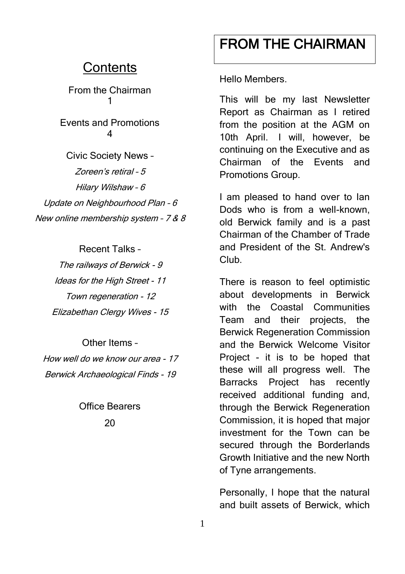### **Contents**

From the Chairman 1

Events and Promotions 4

Civic Society News – Zoreen's retiral – 5 Hilary Wilshaw – 6 Update on Neighbourhood Plan – 6 New online membership system – 7 & 8

> Recent Talks – The railways of Berwick - 9 Ideas for the High Street - 11 Town regeneration - 12 Elizabethan Clergy Wives - 15

Other Items – How well do we know our area - 17 Berwick Archaeological Finds - 19

> Office Bearers  $20$

# FROM THE CHAIRMAN

Hello Members.

This will be my last Newsletter Report as Chairman as I retired from the position at the AGM on 10th April. I will, however, be continuing on the Executive and as Chairman of the Events and Promotions Group.

I am pleased to hand over to Ian Dods who is from a well-known, old Berwick family and is a past Chairman of the Chamber of Trade and President of the St. Andrew's Club.

There is reason to feel optimistic about developments in Berwick with the Coastal Communities Team and their projects, the Berwick Regeneration Commission and the Berwick Welcome Visitor Project - it is to be hoped that these will all progress well. The Barracks Project has recently received additional funding and, through the Berwick Regeneration Commission, it is hoped that major investment for the Town can be secured through the Borderlands Growth Initiative and the new North of Tyne arrangements.

Personally, I hope that the natural and built assets of Berwick, which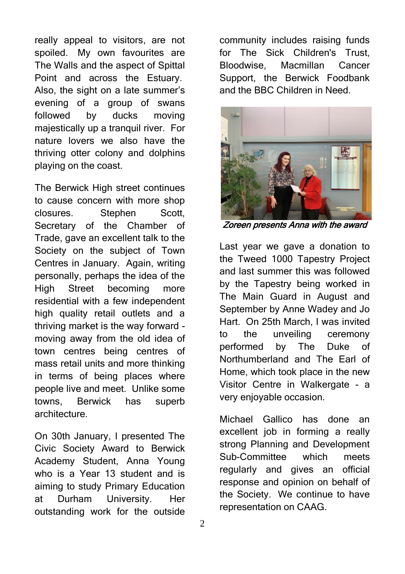really appeal to visitors, are not spoiled. My own favourites are The Walls and the aspect of Spittal Point and across the Estuary. Also, the sight on a late summer's evening of a group of swans followed by ducks moving majestically up a tranquil river. For nature lovers we also have the thriving otter colony and dolphins playing on the coast.

The Berwick High street continues to cause concern with more shop closures. Stephen Scott, Secretary of the Chamber of Trade, gave an excellent talk to the Society on the subject of Town Centres in January. Again, writing personally, perhaps the idea of the High Street becoming more residential with a few independent high quality retail outlets and a thriving market is the way forward moving away from the old idea of town centres being centres of mass retail units and more thinking in terms of being places where people live and meet. Unlike some towns, Berwick has superb architecture.

On 30th January, I presented The Civic Society Award to Berwick Academy Student, Anna Young who is a Year 13 student and is aiming to study Primary Education at Durham University. Her outstanding work for the outside

community includes raising funds for The Sick Children's Trust, Bloodwise, Macmillan Cancer Support, the Berwick Foodbank and the BBC Children in Need.



Zoreen presents Anna with the award

Last year we gave a donation to the Tweed 1000 Tapestry Project and last summer this was followed by the Tapestry being worked in The Main Guard in August and September by Anne Wadey and Jo Hart. On 25th March, I was invited to the unveiling ceremony performed by The Duke of Northumberland and The Earl of Home, which took place in the new Visitor Centre in Walkergate - a very enjoyable occasion.

Michael Gallico has done an excellent job in forming a really strong Planning and Development Sub-Committee which meets regularly and gives an official response and opinion on behalf of the Society. We continue to have representation on CAAG.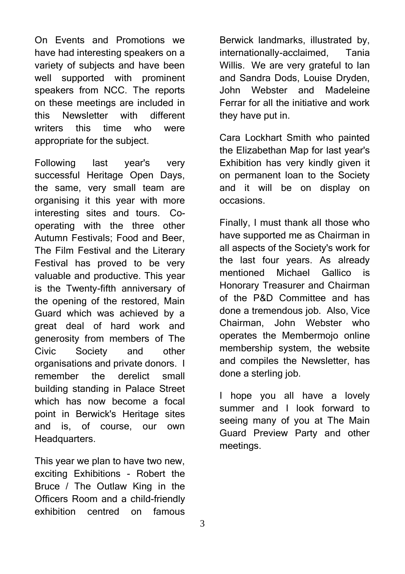On Events and Promotions we have had interesting speakers on a variety of subjects and have been well supported with prominent speakers from NCC. The reports on these meetings are included in this Newsletter with different writers this time who were appropriate for the subject.

Following last year's very successful Heritage Open Days, the same, very small team are organising it this year with more interesting sites and tours. Cooperating with the three other Autumn Festivals; Food and Beer, The Film Festival and the Literary Festival has proved to be very valuable and productive. This year is the Twenty-fifth anniversary of the opening of the restored, Main Guard which was achieved by a great deal of hard work and generosity from members of The Civic Society and other organisations and private donors. I remember the derelict small building standing in Palace Street which has now become a focal point in Berwick's Heritage sites and is, of course, our own Headquarters.

This year we plan to have two new, exciting Exhibitions - Robert the Bruce / The Outlaw King in the Officers Room and a child-friendly exhibition centred on famous

Berwick landmarks, illustrated by, internationally-acclaimed, Tania Willis. We are very grateful to Ian and Sandra Dods, Louise Dryden, John Webster and Madeleine Ferrar for all the initiative and work they have put in.

Cara Lockhart Smith who painted the Elizabethan Map for last year's Exhibition has very kindly given it on permanent loan to the Society and it will be on display on occasions.

Finally, I must thank all those who have supported me as Chairman in all aspects of the Society's work for the last four years. As already mentioned Michael Gallico is Honorary Treasurer and Chairman of the P&D Committee and has done a tremendous job. Also, Vice Chairman, John Webster who operates the Membermojo online membership system, the website and compiles the Newsletter, has done a sterling job.

I hope you all have a lovely summer and I look forward to seeing many of you at The Main Guard Preview Party and other meetings.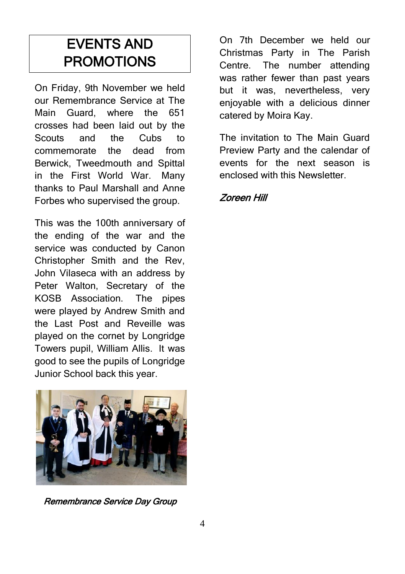# EVENTS AND PROMOTIONS

On Friday, 9th November we held our Remembrance Service at The Main Guard, where the 651 crosses had been laid out by the Scouts and the Cubs to commemorate the dead from Berwick, Tweedmouth and Spittal in the First World War. Many thanks to Paul Marshall and Anne Forbes who supervised the group.

This was the 100th anniversary of the ending of the war and the service was conducted by Canon Christopher Smith and the Rev, John Vilaseca with an address by Peter Walton, Secretary of the KOSB Association. The pipes were played by Andrew Smith and the Last Post and Reveille was played on the cornet by Longridge Towers pupil, William Allis. It was good to see the pupils of Longridge Junior School back this year.



Remembrance Service Day Group

On 7th December we held our Christmas Party in The Parish Centre. The number attending was rather fewer than past years but it was, nevertheless, very enjoyable with a delicious dinner catered by Moira Kay.

The invitation to The Main Guard Preview Party and the calendar of events for the next season is enclosed with this Newsletter.

### Zoreen Hill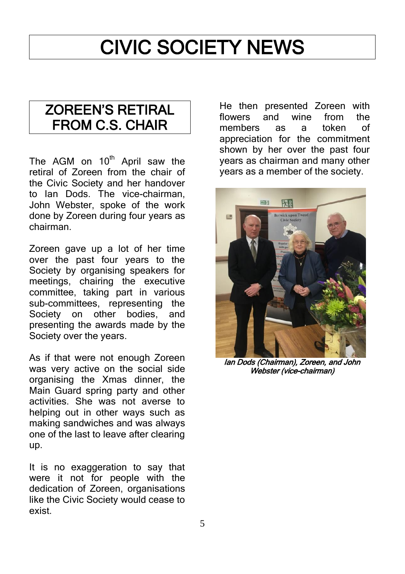# CIVIC SOCIETY NEWS

### ZOREEN'S RETIRAL FROM C.S. CHAIR

The AGM on  $10<sup>th</sup>$  April saw the retiral of Zoreen from the chair of the Civic Society and her handover to Ian Dods. The vice-chairman, John Webster, spoke of the work done by Zoreen during four years as chairman.

Zoreen gave up a lot of her time over the past four years to the Society by organising speakers for meetings, chairing the executive committee, taking part in various sub-committees, representing the Society on other bodies, and presenting the awards made by the Society over the years.

As if that were not enough Zoreen was very active on the social side organising the Xmas dinner, the Main Guard spring party and other activities. She was not averse to helping out in other ways such as making sandwiches and was always one of the last to leave after clearing up.

It is no exaggeration to say that were it not for people with the dedication of Zoreen, organisations like the Civic Society would cease to exist.

He then presented Zoreen with<br>flowers and wine from the flowers and wine from the members as a token of appreciation for the commitment shown by her over the past four years as chairman and many other years as a member of the society.



Ian Dods (Chairman), Zoreen, and John Webster (vice-chairman)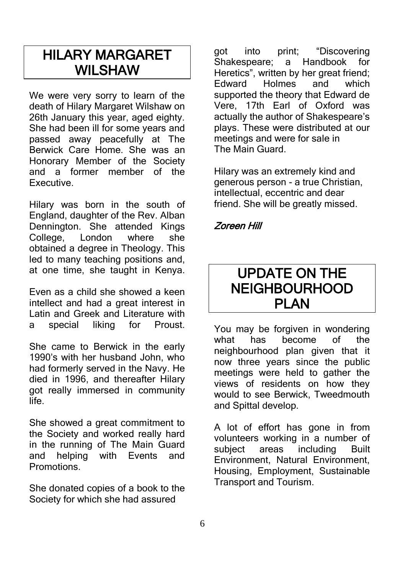### HILARY MARGARET WILSHAW

We were very sorry to learn of the death of Hilary Margaret Wilshaw on 26th January this year, aged eighty. She had been ill for some years and passed away peacefully at The Berwick Care Home. She was an Honorary Member of the Society and a former member of the Executive.

Hilary was born in the south of England, daughter of the Rev. Alban Dennington. She attended Kings College, London where she obtained a degree in Theology. This led to many teaching positions and, at one time, she taught in Kenya.

Even as a child she showed a keen intellect and had a great interest in Latin and Greek and Literature with a special liking for Proust.

She came to Berwick in the early 1990's with her husband John, who had formerly served in the Navy. He died in 1996, and thereafter Hilary got really immersed in community life.

She showed a great commitment to the Society and worked really hard in the running of The Main Guard and helping with Events and Promotions.

She donated copies of a book to the Society for which she had assured

got into print; "Discovering<br>Shakespeare: a Handbook for Shakespeare; a Handbook Heretics", written by her great friend; Edward Holmes and which supported the theory that Edward de Vere, 17th Earl of Oxford was actually the author of Shakespeare's plays. These were distributed at our meetings and were for sale in The Main Guard.

Hilary was an extremely kind and generous person - a true Christian, intellectual, eccentric and dear friend. She will be greatly missed.

#### Zoreen Hill

### UPDATE ON THE NEIGHBOURHOOD **PI AN**

You may be forgiven in wondering what has become of the neighbourhood plan given that it now three years since the public meetings were held to gather the views of residents on how they would to see Berwick, Tweedmouth and Spittal develop.

A lot of effort has gone in from volunteers working in a number of subject areas including Built Environment, Natural Environment, Housing, Employment, Sustainable Transport and Tourism.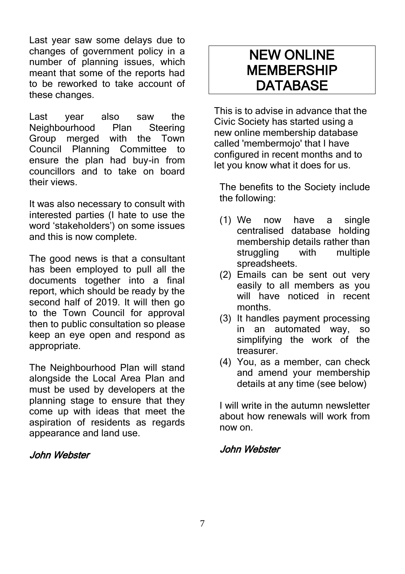Last year saw some delays due to changes of government policy in a number of planning issues, which meant that some of the reports had to be reworked to take account of these changes.

Last year also saw the Neighbourhood Plan Steering Group merged with the Town Council Planning Committee to ensure the plan had buy-in from councillors and to take on board their views.

It was also necessary to consult with interested parties (I hate to use the word 'stakeholders') on some issues and this is now complete.

The good news is that a consultant has been employed to pull all the documents together into a final report, which should be ready by the second half of 2019. It will then go to the Town Council for approval then to public consultation so please keep an eye open and respond as appropriate.

The Neighbourhood Plan will stand alongside the Local Area Plan and must be used by developers at the planning stage to ensure that they come up with ideas that meet the aspiration of residents as regards appearance and land use.

#### John Webster

## NEW ONLINE **MEMBERSHIP DATABASE**

This is to advise in advance that the Civic Society has started using a new online membership database called 'membermojo' that I have configured in recent months and to let you know what it does for us.

The benefits to the Society include the following:

- (1) We now have a single centralised database holding membership details rather than struggling with multiple spreadsheets.
- (2) Emails can be sent out very easily to all members as you will have noticed in recent months.
- (3) It handles payment processing in an automated way, so simplifying the work of the treasurer.
- (4) You, as a member, can check and amend your membership details at any time (see below)

I will write in the autumn newsletter about how renewals will work from now on.

### John Webster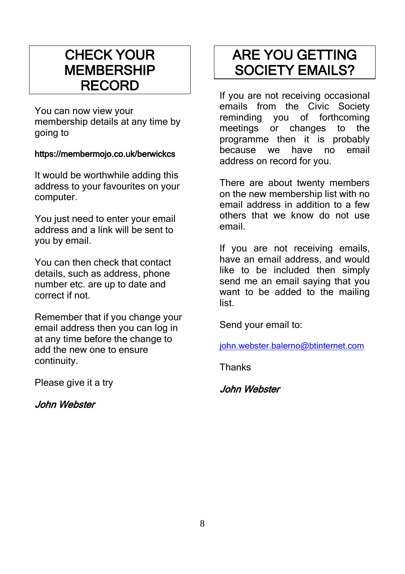## CHECK YOUR **MEMBERSHIP** RECORD

You can now view your membership details at any time by going to

#### https://membermojo.co.uk/berwickcs

It would be worthwhile adding this address to your favourites on your computer.

You just need to enter your email address and a link will be sent to you by email.

You can then check that contact details, such as address, phone number etc. are up to date and correct if not.

Remember that if you change your email address then you can log in at any time before the change to add the new one to ensure continuity.

Please give it a try

John Webster

## ARE YOU GETTING SOCIETY EMAILS?

If you are not receiving occasional emails from the Civic Society reminding you of forthcoming meetings or changes to the programme then it is probably because we have no email address on record for you.

There are about twenty members on the new membership list with no email address in addition to a few others that we know do not use email.

If you are not receiving emails, have an email address, and would like to be included then simply send me an email saying that you want to be added to the mailing list.

Send your email to:

[john.webster.balerno@btinternet.com](mailto:john.webster.balerno@btinternet.com)

Thanks

John Webster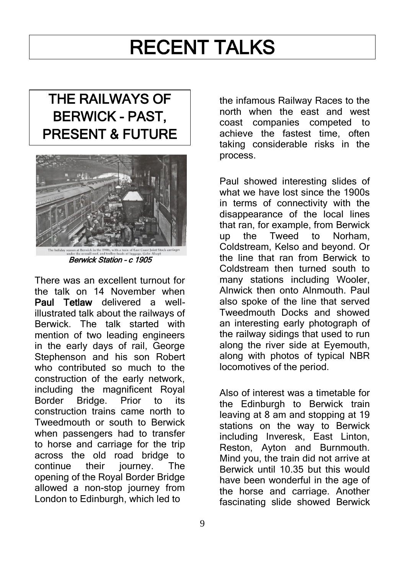# RECENT TALKS

# THE RAILWAYS OF BERWICK - PAST, PRESENT & FUTURE



Berwick Station – c 1905

There was an excellent turnout for the talk on 14 November when Paul Tetlaw delivered a wellillustrated talk about the railways of Berwick. The talk started with mention of two leading engineers in the early days of rail, George Stephenson and his son Robert who contributed so much to the construction of the early network, including the magnificent Royal Border Bridge. Prior to its construction trains came north to Tweedmouth or south to Berwick when passengers had to transfer to horse and carriage for the trip across the old road bridge to continue their journey. The opening of the Royal Border Bridge allowed a non-stop journey from London to Edinburgh, which led to

the infamous Railway Races to the north when the east and west coast companies competed to achieve the fastest time, often taking considerable risks in the process.

Paul showed interesting slides of what we have lost since the 1900s in terms of connectivity with the disappearance of the local lines that ran, for example, from Berwick up the Tweed to Norham, Coldstream, Kelso and beyond. Or the line that ran from Berwick to Coldstream then turned south to many stations including Wooler, Alnwick then onto Alnmouth. Paul also spoke of the line that served Tweedmouth Docks and showed an interesting early photograph of the railway sidings that used to run along the river side at Eyemouth, along with photos of typical NBR locomotives of the period.

Also of interest was a timetable for the Edinburgh to Berwick train leaving at 8 am and stopping at 19 stations on the way to Berwick including Inveresk, East Linton, Reston, Ayton and Burnmouth. Mind you, the train did not arrive at Berwick until 10.35 but this would have been wonderful in the age of the horse and carriage. Another fascinating slide showed Berwick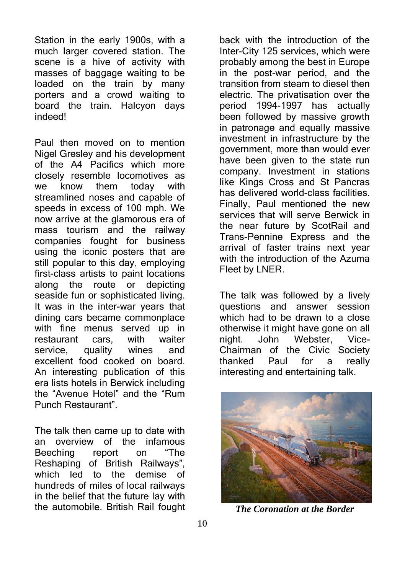Station in the early 1900s, with a much larger covered station. The scene is a hive of activity with masses of baggage waiting to be loaded on the train by many porters and a crowd waiting to board the train. Halcyon days indeed!

Paul then moved on to mention Nigel Gresley and his development of the A4 Pacifics which more closely resemble locomotives as we know them today with streamlined noses and capable of speeds in excess of 100 mph. We now arrive at the glamorous era of mass tourism and the railway companies fought for business using the iconic posters that are still popular to this day, employing first-class artists to paint locations along the route or depicting seaside fun or sophisticated living. It was in the inter-war years that dining cars became commonplace with fine menus served up in restaurant cars, with waiter service, quality wines and excellent food cooked on board. An interesting publication of this era lists hotels in Berwick including the "Avenue Hotel" and the "Rum Punch Restaurant".

The talk then came up to date with an overview of the infamous Beeching report on "The Reshaping of British Railways", which led to the demise of hundreds of miles of local railways in the belief that the future lay with the automobile. British Rail fought

back with the introduction of the Inter-City 125 services, which were probably among the best in Europe in the post-war period, and the transition from steam to diesel then electric. The privatisation over the period 1994-1997 has actually been followed by massive growth in patronage and equally massive investment in infrastructure by the government, more than would ever have been given to the state run company. Investment in stations like Kings Cross and St Pancras has delivered world-class facilities. Finally, Paul mentioned the new services that will serve Berwick in the near future by ScotRail and Trans-Pennine Express and the arrival of faster trains next year with the introduction of the Azuma Fleet by LNER.

The talk was followed by a lively questions and answer session which had to be drawn to a close otherwise it might have gone on all night. John Webster, Vice-Chairman of the Civic Society thanked Paul for a really interesting and entertaining talk.



*The Coronation at the Border*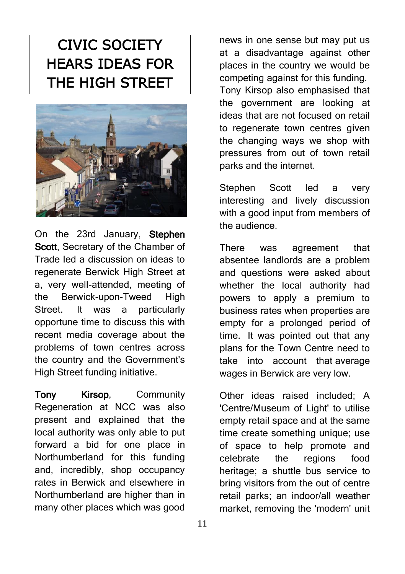# CIVIC SOCIETY HEARS IDEAS FOR THE HIGH STREET



On the 23rd January, Stephen Scott, Secretary of the Chamber of Trade led a discussion on ideas to regenerate Berwick High Street at a, very well-attended, meeting of the Berwick-upon-Tweed High Street. It was a particularly opportune time to discuss this with recent media coverage about the problems of town centres across the country and the Government's High Street funding initiative.

Tony Kirsop, Community Regeneration at NCC was also present and explained that the local authority was only able to put forward a bid for one place in Northumberland for this funding and, incredibly, shop occupancy rates in Berwick and elsewhere in Northumberland are higher than in many other places which was good

news in one sense but may put us at a disadvantage against other places in the country we would be competing against for this funding. Tony Kirsop also emphasised that the government are looking at ideas that are not focused on retail to regenerate town centres given the changing ways we shop with pressures from out of town retail parks and the internet.

Stephen Scott led a very interesting and lively discussion with a good input from members of the audience.

There was agreement that absentee landlords are a problem and questions were asked about whether the local authority had powers to apply a premium to business rates when properties are empty for a prolonged period of time. It was pointed out that any plans for the Town Centre need to take into account that average wages in Berwick are very low.

Other ideas raised included; A 'Centre/Museum of Light' to utilise empty retail space and at the same time create something unique; use of space to help promote and celebrate the regions food heritage; a shuttle bus service to bring visitors from the out of centre retail parks; an indoor/all weather market, removing the 'modern' unit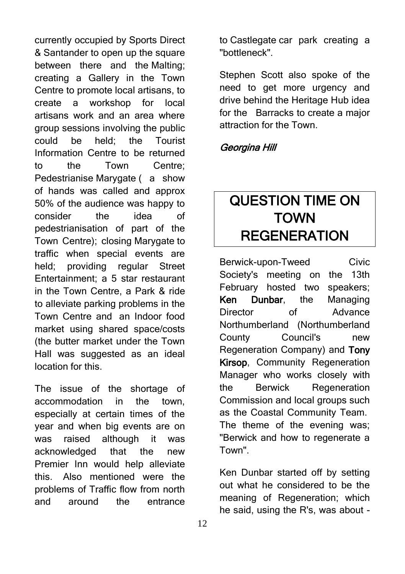currently occupied by Sports Direct & Santander to open up the square between there and the Malting; creating a Gallery in the Town Centre to promote local artisans, to create a workshop for local artisans work and an area where group sessions involving the public could be held; the Tourist Information Centre to be returned to the Town Centre; Pedestrianise Marygate (a show of hands was called and approx 50% of the audience was happy to consider the idea of pedestrianisation of part of the Town Centre); closing Marygate to traffic when special events are held; providing regular Street Entertainment; a 5 star restaurant in the Town Centre, a Park & ride to alleviate parking problems in the Town Centre and an Indoor food market using shared space/costs (the butter market under the Town Hall was suggested as an ideal location for this.

The issue of the shortage of accommodation in the town, especially at certain times of the year and when big events are on was raised although it was acknowledged that the new Premier Inn would help alleviate this. Also mentioned were the problems of Traffic flow from north and around the entrance to Castlegate car park creating a "bottleneck".

Stephen Scott also spoke of the need to get more urgency and drive behind the Heritage Hub idea for the Barracks to create a major attraction for the Town.

### Georgina Hill

# QUESTION TIME ON **TOWN** REGENERATION

Berwick-upon-Tweed Civic Society's meeting on the 13th February hosted two speakers; Ken Dunbar, the Managing Director of Advance Northumberland (Northumberland County Council's new Regeneration Company) and Tony Kirsop, Community Regeneration Manager who works closely with the Berwick Regeneration Commission and local groups such as the Coastal Community Team. The theme of the evening was; "Berwick and how to regenerate a Town".

Ken Dunbar started off by setting out what he considered to be the meaning of Regeneration; which he said, using the R's, was about -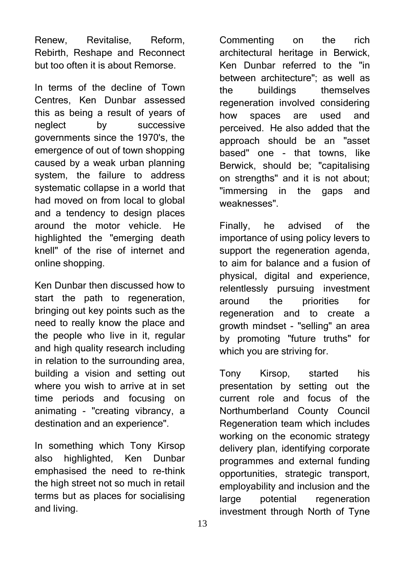Renew, Revitalise, Reform, Rebirth, Reshape and Reconnect but too often it is about Remorse.

In terms of the decline of Town Centres, Ken Dunbar assessed this as being a result of years of neglect by successive governments since the 1970's, the emergence of out of town shopping caused by a weak urban planning system, the failure to address systematic collapse in a world that had moved on from local to global and a tendency to design places around the motor vehicle. He highlighted the "emerging death knell" of the rise of internet and online shopping.

Ken Dunbar then discussed how to start the path to regeneration, bringing out key points such as the need to really know the place and the people who live in it, regular and high quality research including in relation to the surrounding area, building a vision and setting out where you wish to arrive at in set time periods and focusing on animating - "creating vibrancy, a destination and an experience".

In something which Tony Kirsop also highlighted, Ken Dunbar emphasised the need to re-think the high street not so much in retail terms but as places for socialising and living.

Commenting on the rich architectural heritage in Berwick, Ken Dunbar referred to the "in between architecture"; as well as the buildings themselves regeneration involved considering how spaces are used and perceived. He also added that the approach should be an "asset based" one - that towns, like Berwick, should be; "capitalising on strengths" and it is not about; "immersing in the gaps and weaknesses".

Finally, he advised of the importance of using policy levers to support the regeneration agenda. to aim for balance and a fusion of physical, digital and experience, relentlessly pursuing investment around the priorities for regeneration and to create a growth mindset - "selling" an area by promoting "future truths" for which you are striving for.

Tony Kirsop, started his presentation by setting out the current role and focus of the Northumberland County Council Regeneration team which includes working on the economic strategy delivery plan, identifying corporate programmes and external funding opportunities, strategic transport, employability and inclusion and the large potential regeneration investment through North of Tyne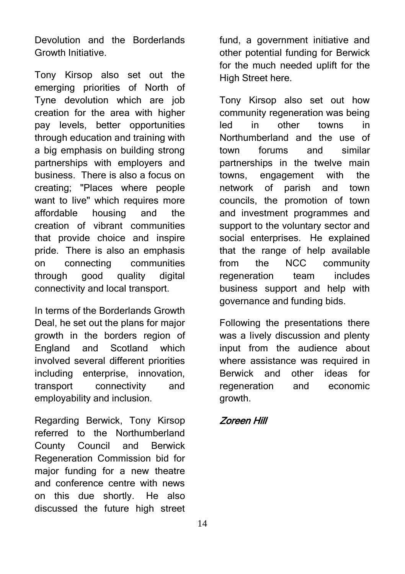Devolution and the Borderlands Growth Initiative.

Tony Kirsop also set out the emerging priorities of North of Tyne devolution which are job creation for the area with higher pay levels, better opportunities through education and training with a big emphasis on building strong partnerships with employers and business. There is also a focus on creating; "Places where people want to live" which requires more affordable housing and the creation of vibrant communities that provide choice and inspire pride. There is also an emphasis on connecting communities through good quality digital connectivity and local transport.

In terms of the Borderlands Growth Deal, he set out the plans for major growth in the borders region of England and Scotland which involved several different priorities including enterprise, innovation, transport connectivity and employability and inclusion.

Regarding Berwick, Tony Kirsop referred to the Northumberland County Council and Berwick Regeneration Commission bid for major funding for a new theatre and conference centre with news on this due shortly. He also discussed the future high street fund, a government initiative and other potential funding for Berwick for the much needed uplift for the High Street here.

Tony Kirsop also set out how community regeneration was being led in other towns in Northumberland and the use of town forums and similar partnerships in the twelve main towns, engagement with the network of parish and town councils, the promotion of town and investment programmes and support to the voluntary sector and social enterprises. He explained that the range of help available from the NCC community regeneration team includes business support and help with governance and funding bids.

Following the presentations there was a lively discussion and plenty input from the audience about where assistance was required in Berwick and other ideas for regeneration and economic growth.

### Zoreen Hill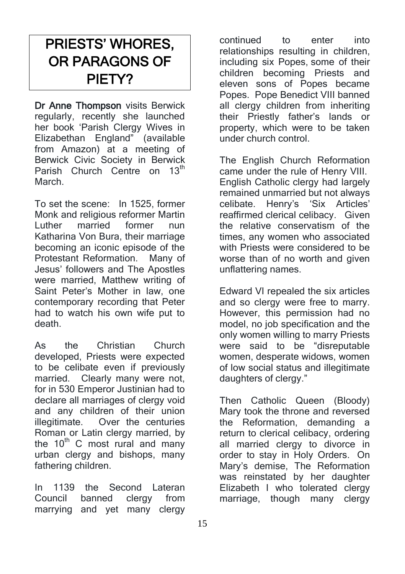# PRIESTS' WHORES, OR PARAGONS OF PIETY?

Dr Anne Thompson visits Berwick regularly, recently she launched her book 'Parish Clergy Wives in Elizabethan England" (available from Amazon) at a meeting of Berwick Civic Society in Berwick Parish Church Centre on 13<sup>th</sup> March.

To set the scene: In 1525, former Monk and religious reformer Martin<br>Luther married former nun Luther married former nun Katharina Von Bura, their marriage becoming an iconic episode of the Protestant Reformation. Many of Jesus' followers and The Apostles were married, Matthew writing of Saint Peter's Mother in law, one contemporary recording that Peter had to watch his own wife put to death.

As the Christian Church developed, Priests were expected to be celibate even if previously married. Clearly many were not, for in 530 Emperor Justinian had to declare all marriages of clergy void and any children of their union illegitimate. Over the centuries Roman or Latin clergy married, by the  $10<sup>th</sup>$  C most rural and many urban clergy and bishops, many fathering children.

In 1139 the Second Lateran Council banned clergy from marrying and yet many clergy

continued to enter into relationships resulting in children, including six Popes, some of their children becoming Priests and eleven sons of Popes became Popes. Pope Benedict VIII banned all clergy children from inheriting their Priestly father's lands or property, which were to be taken under church control.

The English Church Reformation came under the rule of Henry VIII. English Catholic clergy had largely remained unmarried but not always celibate. Henry's 'Six Articles' reaffirmed clerical celibacy. Given the relative conservatism of the times, any women who associated with Priests were considered to be worse than of no worth and given unflattering names.

Edward VI repealed the six articles and so clergy were free to marry. However, this permission had no model, no job specification and the only women willing to marry Priests were said to be "disreputable women, desperate widows, women of low social status and illegitimate daughters of clergy."

Then Catholic Queen (Bloody) Mary took the throne and reversed the Reformation, demanding a return to clerical celibacy, ordering all married clergy to divorce in order to stay in Holy Orders. On Mary's demise, The Reformation was reinstated by her daughter Elizabeth I who tolerated clergy marriage, though many clergy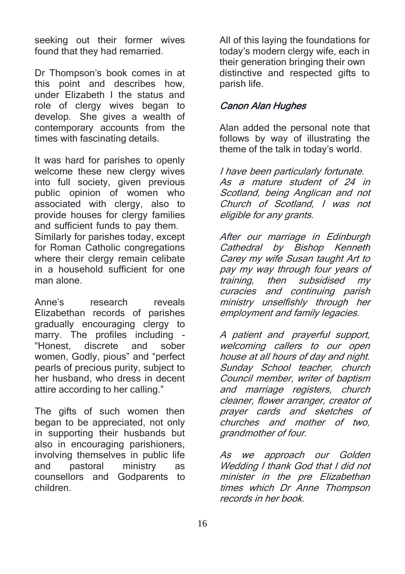seeking out their former wives found that they had remarried.

Dr Thompson's book comes in at this point and describes how, under Elizabeth I the status and role of clergy wives began to develop. She gives a wealth of contemporary accounts from the times with fascinating details.

It was hard for parishes to openly welcome these new clergy wives into full society, given previous public opinion of women who associated with clergy, also to provide houses for clergy families and sufficient funds to pay them. Similarly for parishes today, except for Roman Catholic congregations where their clergy remain celibate in a household sufficient for one man alone.

Anne's research reveals Elizabethan records of parishes gradually encouraging clergy to marry. The profiles including - "Honest, discrete and sober women, Godly, pious" and "perfect pearls of precious purity, subject to her husband, who dress in decent attire according to her calling."

The gifts of such women then began to be appreciated, not only in supporting their husbands but also in encouraging parishioners, involving themselves in public life and pastoral ministry as counsellors and Godparents to children.

All of this laying the foundations for today's modern clergy wife, each in their generation bringing their own distinctive and respected gifts to parish life.

### Canon Alan Hughes

Alan added the personal note that follows by way of illustrating the theme of the talk in today's world.

I have been particularly fortunate. As a mature student of 24 in Scotland, being Anglican and not Church of Scotland, I was not eligible for any grants.

After our marriage in Edinburgh Cathedral by Bishop Kenneth Carey my wife Susan taught Art to pay my way through four years of training, then subsidised my then subsidised my curacies and continuing parish ministry unselfishly through her employment and family legacies.

A patient and prayerful support, welcoming callers to our open house at all hours of day and night. Sunday School teacher, church Council member, writer of baptism and marriage registers, church cleaner, flower arranger, creator of prayer cards and sketches of churches and mother of two, grandmother of four.

As we approach our Golden Wedding I thank God that I did not minister in the pre Elizabethan times which Dr Anne Thompson records in her book.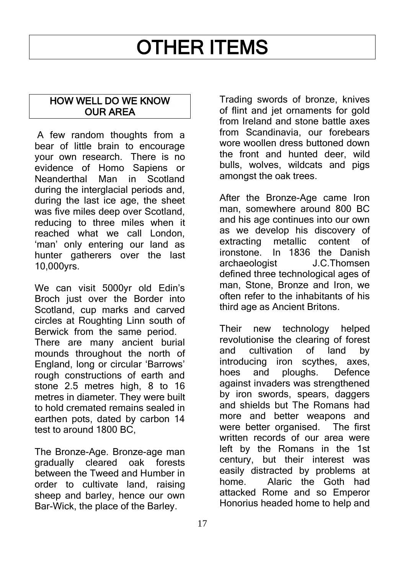# OTHER ITEMS

### HOW WELL DO WE KNOW OUR AREA

A few random thoughts from a bear of little brain to encourage your own research. There is no evidence of Homo Sapiens or Neanderthal Man in Scotland during the interglacial periods and. during the last ice age, the sheet was five miles deep over Scotland. reducing to three miles when it reached what we call London, 'man' only entering our land as hunter gatherers over the last 10,000yrs.

We can visit 5000yr old Edin's Broch just over the Border into Scotland, cup marks and carved circles at Roughting Linn south of Berwick from the same period. There are many ancient burial mounds throughout the north of England, long or circular 'Barrows' rough constructions of earth and stone 2.5 metres high, 8 to 16 metres in diameter. They were built to hold cremated remains sealed in earthen pots, dated by carbon 14 test to around 1800 BC,

The Bronze-Age. Bronze-age man gradually cleared oak forests between the Tweed and Humber in order to cultivate land, raising sheep and barley, hence our own Bar-Wick, the place of the Barley.

Trading swords of bronze, knives of flint and jet ornaments for gold from Ireland and stone battle axes from Scandinavia, our forebears wore woollen dress buttoned down the front and hunted deer, wild bulls, wolves, wildcats and pigs amongst the oak trees.

After the Bronze-Age came Iron man, somewhere around 800 BC and his age continues into our own as we develop his discovery of extracting metallic content of ironstone. In 1836 the Danish archaeologist J.C.Thomsen defined three technological ages of man, Stone, Bronze and Iron, we often refer to the inhabitants of his third age as Ancient Britons.

Their new technology helped revolutionise the clearing of forest and cultivation of land by introducing iron scythes, axes, hoes and ploughs. Defence against invaders was strengthened by iron swords, spears, daggers and shields but The Romans had more and better weapons and were better organised. The first written records of our area were left by the Romans in the 1st century, but their interest was easily distracted by problems at home. Alaric the Goth had attacked Rome and so Emperor Honorius headed home to help and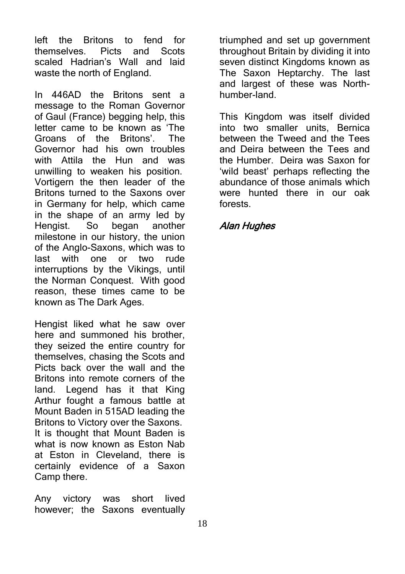left the Britons to fend for<br>themselves. Picts and Scots themselves. Picts and Scots scaled Hadrian's Wall and laid waste the north of England.

In 446AD the Britons sent a message to the Roman Governor of Gaul (France) begging help, this letter came to be known as 'The Groans of the Britons'. The Governor had his own troubles with Attila the Hun and was unwilling to weaken his position. Vortigern the then leader of the Britons turned to the Saxons over in Germany for help, which came in the shape of an army led by Hengist. So began another milestone in our history, the union of the Anglo-Saxons, which was to last with one or two rude interruptions by the Vikings, until the Norman Conquest. With good reason, these times came to be known as The Dark Ages.

Hengist liked what he saw over here and summoned his brother, they seized the entire country for themselves, chasing the Scots and Picts back over the wall and the Britons into remote corners of the land. Legend has it that King Arthur fought a famous battle at Mount Baden in 515AD leading the Britons to Victory over the Saxons. It is thought that Mount Baden is what is now known as Eston Nab at Eston in Cleveland, there is certainly evidence of a Saxon Camp there.

Any victory was short lived however; the Saxons eventually triumphed and set up government throughout Britain by dividing it into seven distinct Kingdoms known as The Saxon Heptarchy. The last and largest of these was Northhumber-land.

This Kingdom was itself divided into two smaller units, Bernica between the Tweed and the Tees and Deira between the Tees and the Humber. Deira was Saxon for 'wild beast' perhaps reflecting the abundance of those animals which were hunted there in our oak forests.

#### Alan Hughes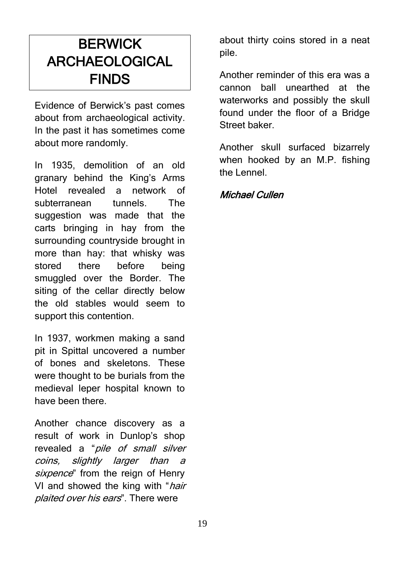# **BERWICK** ARCHAEOLOGICAL FINDS

Evidence of Berwick's past comes about from archaeological activity. In the past it has sometimes come about more randomly.

In 1935, demolition of an old granary behind the King's Arms Hotel revealed a network of subterranean tunnels. The suggestion was made that the carts bringing in hay from the surrounding countryside brought in more than hay: that whisky was stored there before being smuggled over the Border. The siting of the cellar directly below the old stables would seem to support this contention.

In 1937, workmen making a sand pit in Spittal uncovered a number of bones and skeletons. These were thought to be burials from the medieval leper hospital known to have been there.

Another chance discovery as a result of work in Dunlop's shop revealed a "*pile of small silver* coins, slightly larger than a sixpence" from the reign of Henry VI and showed the king with "*hair*" plaited over his ears". There were

about thirty coins stored in a neat pile.

Another reminder of this era was a cannon ball unearthed at the waterworks and possibly the skull found under the floor of a Bridge Street baker.

Another skull surfaced bizarrely when hooked by an M.P. fishing the Lennel.

### Michael Cullen